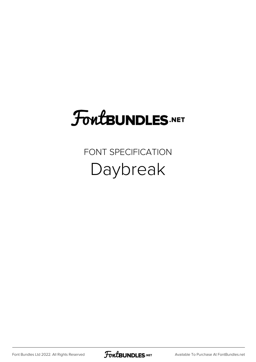# **FoutBUNDLES.NET**

FONT SPECIFICATION Daybreak

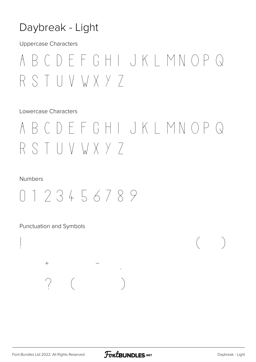### Daybreak - Light

**Uppercase Characters** 

# A B C D F F G H I J K I MN O P Q RSTUVWXY7

Lowercase Characters

A B C D F F G H I J K I MN O P Q RSTUVWXY7

#### **Numbers**

0123456789

#### Punctuation and Symbols

| $1$ " # \$ % & ' ( )                              |  |  |  |  |
|---------------------------------------------------|--|--|--|--|
|                                                   |  |  |  |  |
| > ? ( \ ) ^ _ {                                   |  |  |  |  |
| $\}$ j $\phi$ £ $\alpha$ \ $\frac{1}{2}$ j $\phi$ |  |  |  |  |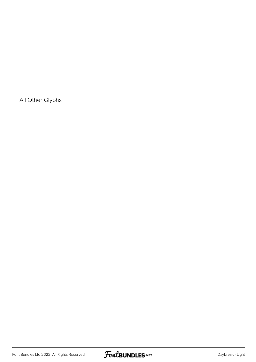

All Other Glyphs

## À Á Â Ã Ä Å Æ Ç È ÉÊËÌÍÎÏ  $\tilde{\rm N}$ Đ ÒÓÔÔÖרÙ  $\dot{a}$ Û Ü Ý Þ ß à á â  $\tilde{a}$ å æç è é ê ë ä  $\overrightarrow{1}$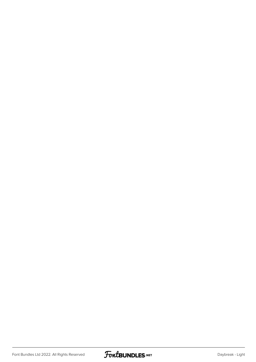### í î ï ð ñ ò ó ô õ ù ú û ü ý Ö  $\mathsf{b}$  $\div$  $\oslash$

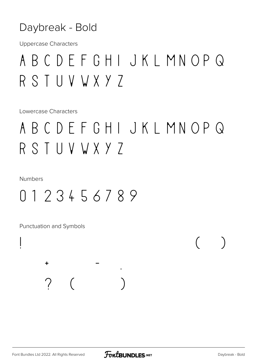### Daybreak - Bold

**Uppercase Characters** 

# ABCDEFGHI JKLMNOPQ RSTUVWXY7

Lowercase Characters

ABCDEFGHI JKLMNOPQ RSTUVWXY7

#### **Numbers**

0123456789

Punctuation and Symbols

|  |  | $\frac{1}{2}$ " # \$ % & ' ( ) |  |  |
|--|--|--------------------------------|--|--|
|  |  |                                |  |  |
|  |  |                                |  |  |
|  |  | $\}$ j $\phi$ £ ¤ ¥ ¦ § "      |  |  |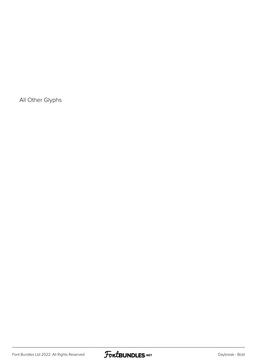

All Other Glyphs

## À Á Â Ã Ä Å Æ Ç È ÉÊËÌÍÎÏ  $\tilde{\rm N}$ Đ ÒÓÔÔÖרÙ  $\dot{a}$ Û Ü Ý Þ ß à á â  $\tilde{a}$ å æç è é ê ë  $\sqrt{2}$ ä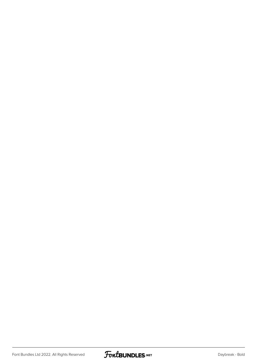### í î ï ð ñ ò ó ô õ ù ú û ü ý Ö  $\mathsf{b}$  $\div$  $\oslash$

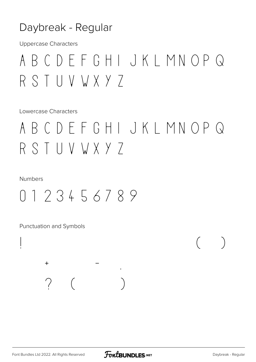### Daybreak - Regular

**Uppercase Characters** 

# ABCDEFGHI JKLMN OPQ RSTUVWXY7

Lowercase Characters

A B C D E F G H I J K L MN O P Q RSTUVWXY7

#### **Numbers**

0123456789

Punctuation and Symbols

|  | $\frac{1}{2}$ "# \$ % & ' ( )                                     |  |  |  |
|--|-------------------------------------------------------------------|--|--|--|
|  | $\qquad \qquad , \qquad \qquad \vdots \qquad ; \qquad < \qquad =$ |  |  |  |
|  |                                                                   |  |  |  |
|  | $\}$ j $\phi$ £ $\alpha$ \ $\frac{1}{2}$ j $\frac{1}{2}$          |  |  |  |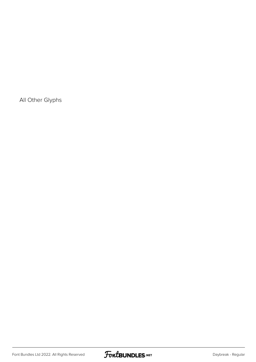

All Other Glyphs

## À Á Â Ã Ä Å Æ Ç È ÉÊËÌÍÎÏ  $\tilde{\rm N}$ Đ ÒÓÔÔÖרÙ  $\dot{a}$ Û Ü Ý Þ ß à á â  $\tilde{a}$ å æç è é ê ë ä  $\overrightarrow{1}$